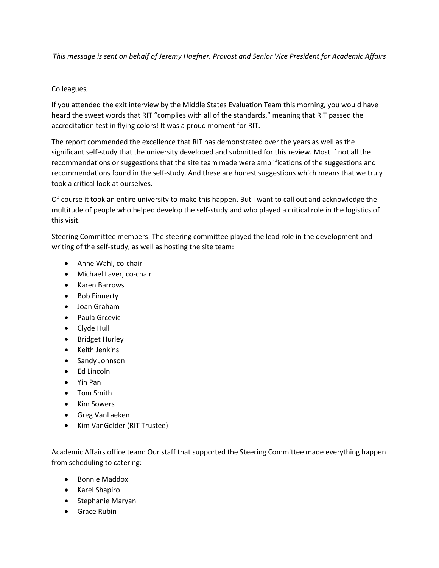*This message is sent on behalf of Jeremy Haefner, Provost and Senior Vice President for Academic Affairs*

## Colleagues,

If you attended the exit interview by the Middle States Evaluation Team this morning, you would have heard the sweet words that RIT "complies with all of the standards," meaning that RIT passed the accreditation test in flying colors! It was a proud moment for RIT.

The report commended the excellence that RIT has demonstrated over the years as well as the significant self-study that the university developed and submitted for this review. Most if not all the recommendations or suggestions that the site team made were amplifications of the suggestions and recommendations found in the self-study. And these are honest suggestions which means that we truly took a critical look at ourselves.

Of course it took an entire university to make this happen. But I want to call out and acknowledge the multitude of people who helped develop the self-study and who played a critical role in the logistics of this visit.

Steering Committee members: The steering committee played the lead role in the development and writing of the self-study, as well as hosting the site team:

- Anne Wahl, co-chair
- Michael Laver, co-chair
- Karen Barrows
- Bob Finnerty
- Joan Graham
- Paula Grcevic
- Clyde Hull
- Bridget Hurley
- Keith Jenkins
- Sandy Johnson
- Ed Lincoln
- Yin Pan
- Tom Smith
- Kim Sowers
- **•** Greg VanLaeken
- Kim VanGelder (RIT Trustee)

Academic Affairs office team: Our staff that supported the Steering Committee made everything happen from scheduling to catering:

- Bonnie Maddox
- Karel Shapiro
- Stephanie Maryan
- **•** Grace Rubin